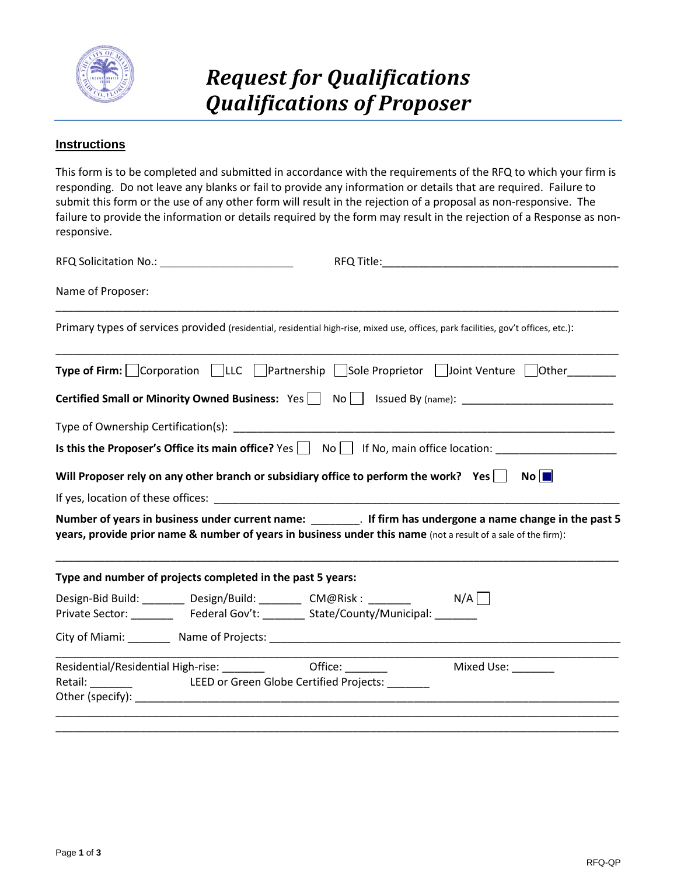

# *Request for Qualifications Qualifications of Proposer*

## **Instructions**

This form is to be completed and submitted in accordance with the requirements of the RFQ to which your firm is responding. Do not leave any blanks or fail to provide any information or details that are required. Failure to submit this form or the use of any other form will result in the rejection of a proposal as non-responsive. The failure to provide the information or details required by the form may result in the rejection of a Response as nonresponsive.

| Name of Proposer: |                                                                                       |                                                                                                                                                                                                                               |  |
|-------------------|---------------------------------------------------------------------------------------|-------------------------------------------------------------------------------------------------------------------------------------------------------------------------------------------------------------------------------|--|
|                   |                                                                                       | Primary types of services provided (residential, residential high-rise, mixed use, offices, park facilities, gov't offices, etc.):                                                                                            |  |
|                   |                                                                                       | Type of Firm: Corporation □LLC □ Partnership □ Sole Proprietor □ Joint Venture □ Other_______                                                                                                                                 |  |
|                   |                                                                                       | <b>Certified Small or Minority Owned Business:</b> $Yes \cup No \cup$ Issued By (name):                                                                                                                                       |  |
|                   |                                                                                       |                                                                                                                                                                                                                               |  |
|                   |                                                                                       | Is this the Proposer's Office its main office? Yes No I If No, main office location: _______________                                                                                                                          |  |
|                   |                                                                                       | Will Proposer rely on any other branch or subsidiary office to perform the work? Yes $\Box$ No $\Box$                                                                                                                         |  |
|                   |                                                                                       |                                                                                                                                                                                                                               |  |
|                   |                                                                                       | Number of years in business under current name: _________. If firm has undergone a name change in the past 5<br>years, provide prior name & number of years in business under this name (not a result of a sale of the firm): |  |
|                   | Type and number of projects completed in the past 5 years:                            |                                                                                                                                                                                                                               |  |
|                   | Design-Bid Build: _______ Design/Build: _______ CM@Risk: ______ M/A                   |                                                                                                                                                                                                                               |  |
|                   | Private Sector: ___________ Federal Gov't: _________ State/County/Municipal: ________ |                                                                                                                                                                                                                               |  |
|                   |                                                                                       |                                                                                                                                                                                                                               |  |
|                   | Residential/Residential High-rise: _________ Office: ______                           | Mixed Use: ________                                                                                                                                                                                                           |  |
|                   |                                                                                       |                                                                                                                                                                                                                               |  |
|                   |                                                                                       |                                                                                                                                                                                                                               |  |
|                   |                                                                                       |                                                                                                                                                                                                                               |  |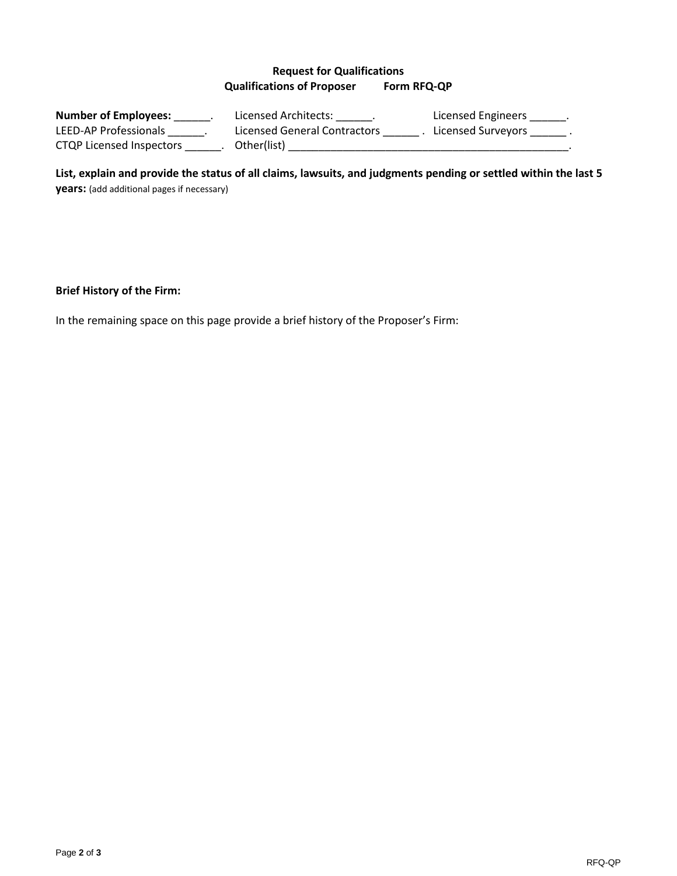# **Request for Qualifications Qualifications of Proposer Form RFQ-QP**

| <b>Number of Employees:</b> | Licensed Architects:         | Licensed Engineers |
|-----------------------------|------------------------------|--------------------|
| LEED-AP Professionals       | Licensed General Contractors | Licensed Surveyors |
| CTQP Licensed Inspectors    | Other(list)                  |                    |

**List, explain and provide the status of all claims, lawsuits, and judgments pending or settled within the last 5 years:** (add additional pages if necessary)

**Brief History of the Firm:**

In the remaining space on this page provide a brief history of the Proposer's Firm: